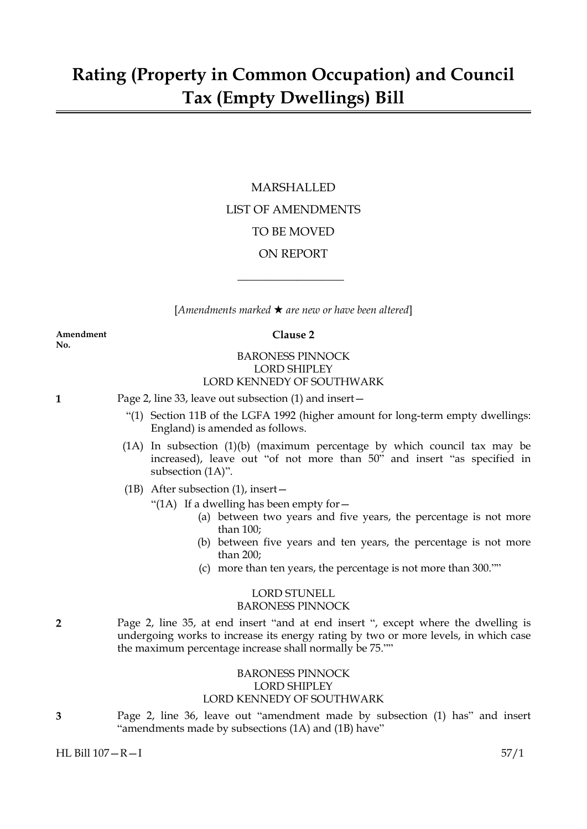## MARSHALLED LIST OF AMENDMENTS TO BE MOVED ON REPORT

[*Amendments marked* \* *are new or have been altered*]

 $\overline{\phantom{a}}$  , where  $\overline{\phantom{a}}$ 

**Amendment Clause 2 No.**

#### BARONESS PINNOCK LORD SHIPLEY LORD KENNEDY OF SOUTHWARK

- **1** Page 2, line 33, leave out subsection (1) and insert—
	- "(1) Section 11B of the LGFA 1992 (higher amount for long-term empty dwellings: England) is amended as follows.
	- (1A) In subsection (1)(b) (maximum percentage by which council tax may be increased), leave out "of not more than 50" and insert "as specified in subsection (1A)".
	- (1B) After subsection (1), insert—
		- "(1A) If a dwelling has been empty for  $-$ 
			- (a) between two years and five years, the percentage is not more than 100;
			- (b) between five years and ten years, the percentage is not more than 200;
			- (c) more than ten years, the percentage is not more than 300.""

### LORD STUNELL BARONESS PINNOCK

**2** Page 2, line 35, at end insert "and at end insert ", except where the dwelling is undergoing works to increase its energy rating by two or more levels, in which case the maximum percentage increase shall normally be 75.""

#### BARONESS PINNOCK LORD SHIPLEY LORD KENNEDY OF SOUTHWARK

**3** Page 2, line 36, leave out "amendment made by subsection (1) has" and insert "amendments made by subsections (1A) and (1B) have"

HL Bill 107—R—I 57/1